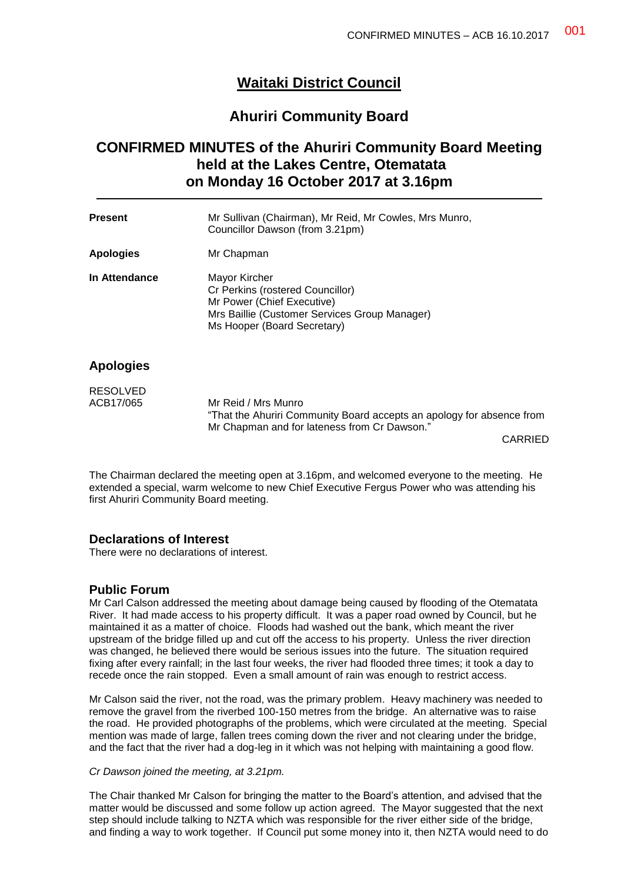# **Waitaki District Council**

## **Ahuriri Community Board**

# **CONFIRMED MINUTES of the Ahuriri Community Board Meeting held at the Lakes Centre, Otematata on Monday 16 October 2017 at 3.16pm**

| <b>Present</b>               | Mr Sullivan (Chairman), Mr Reid, Mr Cowles, Mrs Munro,<br>Councillor Dawson (from 3.21pm)                                                                       |
|------------------------------|-----------------------------------------------------------------------------------------------------------------------------------------------------------------|
| <b>Apologies</b>             | Mr Chapman                                                                                                                                                      |
| In Attendance                | Mayor Kircher<br>Cr Perkins (rostered Councillor)<br>Mr Power (Chief Executive)<br>Mrs Baillie (Customer Services Group Manager)<br>Ms Hooper (Board Secretary) |
| <b>Apologies</b>             |                                                                                                                                                                 |
| <b>RESOLVED</b><br>ACB17/065 | Mr Reid / Mrs Munro                                                                                                                                             |

"That the Ahuriri Community Board accepts an apology for absence from Mr Chapman and for lateness from Cr Dawson." CARRIED

The Chairman declared the meeting open at 3.16pm, and welcomed everyone to the meeting. He extended a special, warm welcome to new Chief Executive Fergus Power who was attending his first Ahuriri Community Board meeting.

### **Declarations of Interest**

There were no declarations of interest.

#### **Public Forum**

Mr Carl Calson addressed the meeting about damage being caused by flooding of the Otematata River. It had made access to his property difficult. It was a paper road owned by Council, but he maintained it as a matter of choice. Floods had washed out the bank, which meant the river upstream of the bridge filled up and cut off the access to his property. Unless the river direction was changed, he believed there would be serious issues into the future. The situation required fixing after every rainfall; in the last four weeks, the river had flooded three times; it took a day to recede once the rain stopped. Even a small amount of rain was enough to restrict access.

Mr Calson said the river, not the road, was the primary problem. Heavy machinery was needed to remove the gravel from the riverbed 100-150 metres from the bridge. An alternative was to raise the road. He provided photographs of the problems, which were circulated at the meeting. Special mention was made of large, fallen trees coming down the river and not clearing under the bridge, and the fact that the river had a dog-leg in it which was not helping with maintaining a good flow.

#### *Cr Dawson joined the meeting, at 3.21pm.*

The Chair thanked Mr Calson for bringing the matter to the Board's attention, and advised that the matter would be discussed and some follow up action agreed. The Mayor suggested that the next step should include talking to NZTA which was responsible for the river either side of the bridge, and finding a way to work together. If Council put some money into it, then NZTA would need to do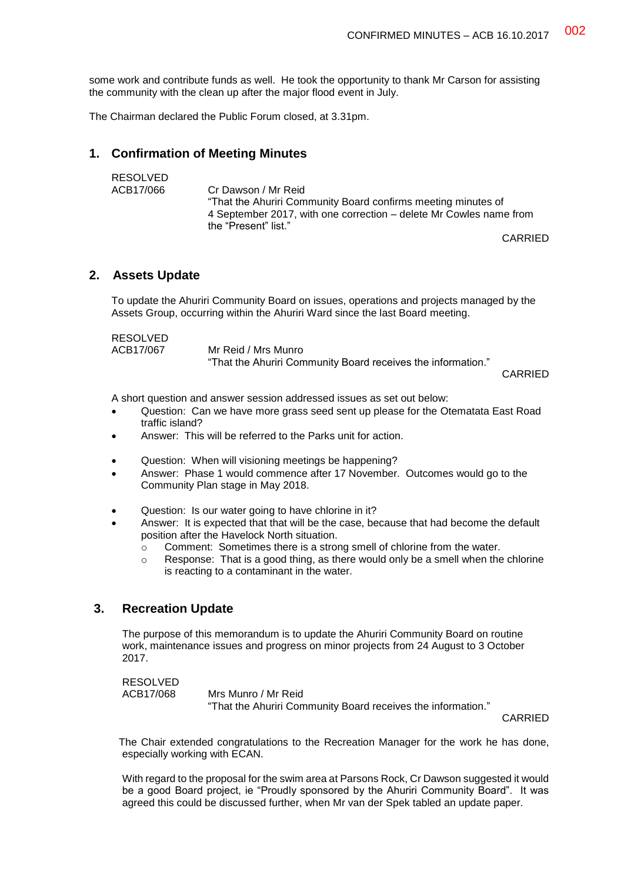some work and contribute funds as well. He took the opportunity to thank Mr Carson for assisting the community with the clean up after the major flood event in July.

The Chairman declared the Public Forum closed, at 3.31pm.

### **1. Confirmation of Meeting Minutes**

| Cr Dawson / Mr Reid                                                |
|--------------------------------------------------------------------|
| "That the Ahuriri Community Board confirms meeting minutes of      |
| 4 September 2017, with one correction – delete Mr Cowles name from |
| the "Present" list."                                               |
|                                                                    |

CARRIED

### **2. Assets Update**

To update the Ahuriri Community Board on issues, operations and projects managed by the Assets Group, occurring within the Ahuriri Ward since the last Board meeting.

| <b>RESOLVED</b> |                                                              |
|-----------------|--------------------------------------------------------------|
| ACB17/067       | Mr Reid / Mrs Munro                                          |
|                 | "That the Ahuriri Community Board receives the information." |

CARRIED

A short question and answer session addressed issues as set out below:

- Question: Can we have more grass seed sent up please for the Otematata East Road traffic island?
- Answer: This will be referred to the Parks unit for action.
- Question: When will visioning meetings be happening?
- Answer: Phase 1 would commence after 17 November. Outcomes would go to the Community Plan stage in May 2018.
- Question: Is our water going to have chlorine in it?
- Answer: It is expected that that will be the case, because that had become the default position after the Havelock North situation.
	- $\circ$  Comment: Sometimes there is a strong smell of chlorine from the water.
	- $\circ$  Response: That is a good thing, as there would only be a smell when the chlorine is reacting to a contaminant in the water.

### **3. Recreation Update**

The purpose of this memorandum is to update the Ahuriri Community Board on routine work, maintenance issues and progress on minor projects from 24 August to 3 October 2017.

RESOLVED ACB17/068 Mrs Munro / Mr Reid "That the Ahuriri Community Board receives the information."

CARRIED

The Chair extended congratulations to the Recreation Manager for the work he has done, especially working with ECAN.

With regard to the proposal for the swim area at Parsons Rock, Cr Dawson suggested it would be a good Board project, ie "Proudly sponsored by the Ahuriri Community Board". It was agreed this could be discussed further, when Mr van der Spek tabled an update paper.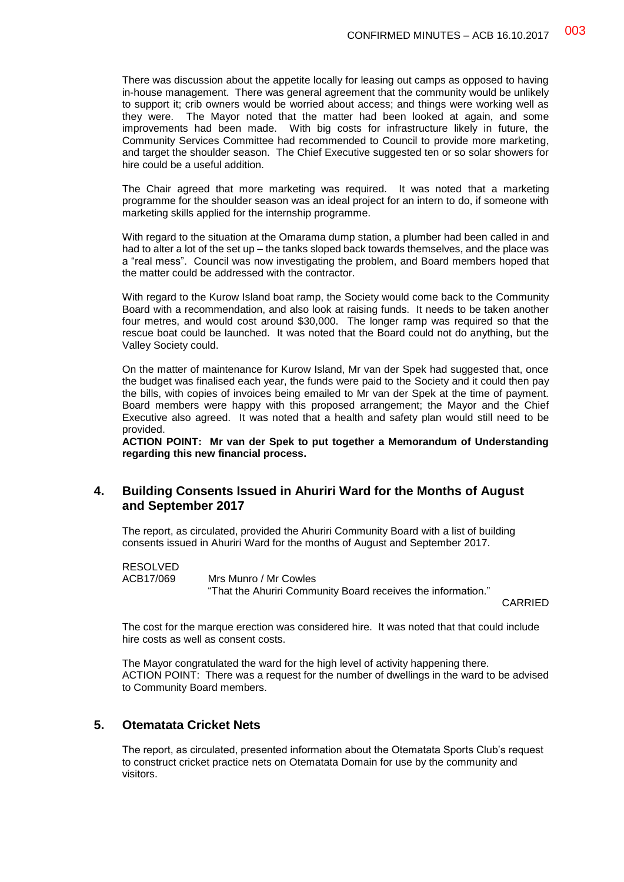There was discussion about the appetite locally for leasing out camps as opposed to having in-house management. There was general agreement that the community would be unlikely to support it; crib owners would be worried about access; and things were working well as they were. The Mayor noted that the matter had been looked at again, and some improvements had been made. With big costs for infrastructure likely in future, the Community Services Committee had recommended to Council to provide more marketing, and target the shoulder season. The Chief Executive suggested ten or so solar showers for hire could be a useful addition.

The Chair agreed that more marketing was required. It was noted that a marketing programme for the shoulder season was an ideal project for an intern to do, if someone with marketing skills applied for the internship programme.

With regard to the situation at the Omarama dump station, a plumber had been called in and had to alter a lot of the set up – the tanks sloped back towards themselves, and the place was a "real mess". Council was now investigating the problem, and Board members hoped that the matter could be addressed with the contractor.

With regard to the Kurow Island boat ramp, the Society would come back to the Community Board with a recommendation, and also look at raising funds. It needs to be taken another four metres, and would cost around \$30,000. The longer ramp was required so that the rescue boat could be launched. It was noted that the Board could not do anything, but the Valley Society could.

On the matter of maintenance for Kurow Island, Mr van der Spek had suggested that, once the budget was finalised each year, the funds were paid to the Society and it could then pay the bills, with copies of invoices being emailed to Mr van der Spek at the time of payment. Board members were happy with this proposed arrangement; the Mayor and the Chief Executive also agreed. It was noted that a health and safety plan would still need to be provided.

**ACTION POINT: Mr van der Spek to put together a Memorandum of Understanding regarding this new financial process.**

### **4. Building Consents Issued in Ahuriri Ward for the Months of August and September 2017**

The report, as circulated, provided the Ahuriri Community Board with a list of building consents issued in Ahuriri Ward for the months of August and September 2017.

RESOLVED

ACB17/069 Mrs Munro / Mr Cowles "That the Ahuriri Community Board receives the information."

CARRIED

The cost for the marque erection was considered hire. It was noted that that could include hire costs as well as consent costs.

The Mayor congratulated the ward for the high level of activity happening there. ACTION POINT: There was a request for the number of dwellings in the ward to be advised to Community Board members.

### **5. Otematata Cricket Nets**

The report, as circulated, presented information about the Otematata Sports Club's request to construct cricket practice nets on Otematata Domain for use by the community and visitors.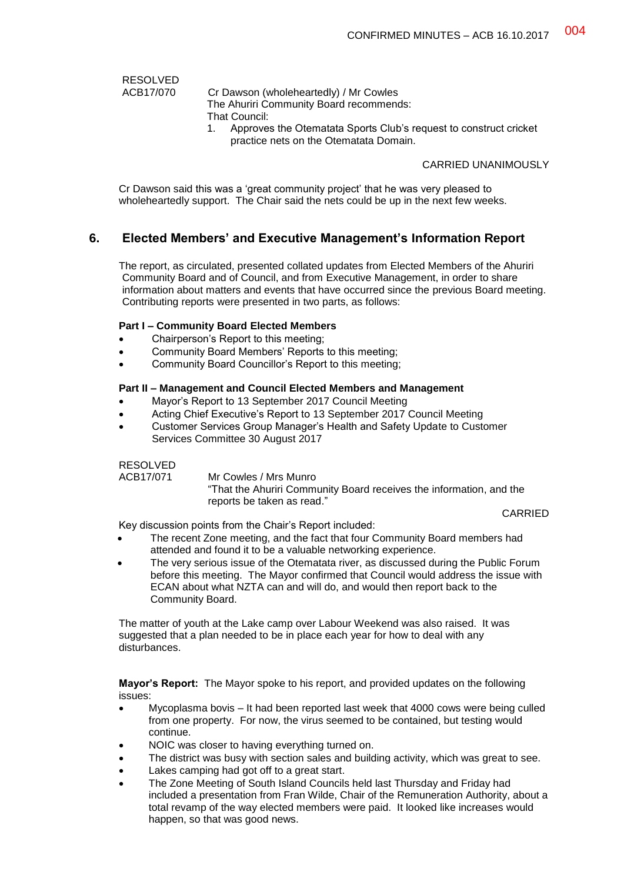RESOLVED<br>ACB17/070 Cr Dawson (wholeheartedly) / Mr Cowles The Ahuriri Community Board recommends: That Council: 1. Approves the Otematata Sports Club's request to construct cricket practice nets on the Otematata Domain.

CARRIED UNANIMOUSLY

Cr Dawson said this was a 'great community project' that he was very pleased to wholeheartedly support. The Chair said the nets could be up in the next few weeks.

## **6. Elected Members' and Executive Management's Information Report**

The report, as circulated, presented collated updates from Elected Members of the Ahuriri Community Board and of Council, and from Executive Management, in order to share information about matters and events that have occurred since the previous Board meeting. Contributing reports were presented in two parts, as follows:

### **Part I – Community Board Elected Members**

- Chairperson's Report to this meeting;
- Community Board Members' Reports to this meeting;
- Community Board Councillor's Report to this meeting;

## **Part II – Management and Council Elected Members and Management**

- Mayor's Report to 13 September 2017 Council Meeting
- Acting Chief Executive's Report to 13 September 2017 Council Meeting
- Customer Services Group Manager's Health and Safety Update to Customer Services Committee 30 August 2017

RESOLVED

| ACB17/071 | Mr Cowles / Mrs Munro                                               |
|-----------|---------------------------------------------------------------------|
|           | "That the Ahuriri Community Board receives the information, and the |
|           | reports be taken as read."                                          |

CARRIED

Key discussion points from the Chair's Report included:

- The recent Zone meeting, and the fact that four Community Board members had attended and found it to be a valuable networking experience.
- The very serious issue of the Otematata river, as discussed during the Public Forum before this meeting. The Mayor confirmed that Council would address the issue with ECAN about what NZTA can and will do, and would then report back to the Community Board.

The matter of youth at the Lake camp over Labour Weekend was also raised. It was suggested that a plan needed to be in place each year for how to deal with any disturbances.

**Mayor's Report:** The Mayor spoke to his report, and provided updates on the following issues:

- Mycoplasma bovis It had been reported last week that 4000 cows were being culled from one property. For now, the virus seemed to be contained, but testing would continue.
- NOIC was closer to having everything turned on.
- The district was busy with section sales and building activity, which was great to see.
- Lakes camping had got off to a great start.
- The Zone Meeting of South Island Councils held last Thursday and Friday had included a presentation from Fran Wilde, Chair of the Remuneration Authority, about a total revamp of the way elected members were paid. It looked like increases would happen, so that was good news.